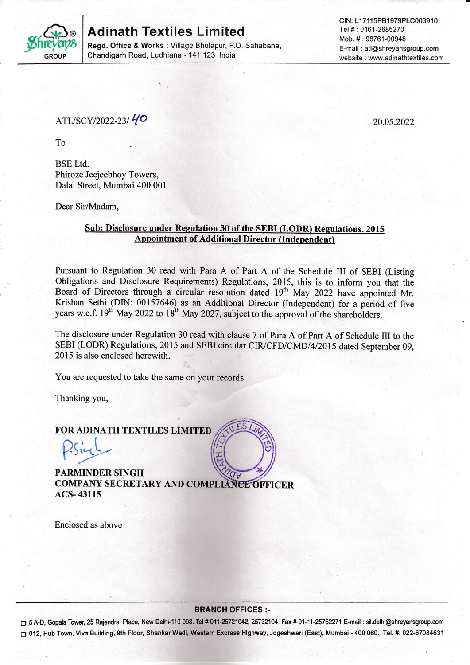

# Adinath Textiles Limited

Regd. Office & Works : Village Bholapur, P.O. Sahabana, Chandigarh Road, Ludhiana - 141 123 lndia

## ATL/SCY/2022-23/40

20.05.2022

To

BSE Ltd. Phiroze Jeejeebhoy Towers, Dalal Street, Mumbai 400 001

Dear Sir/Madam,

#### Sub: Disclosure under Regulation 30 of the SEBI (LODR) Regulations, 2015 Appointment of Additional Director (Independent)

Pursuant to Regulation 30 read with Para A of Part A of the Schedule III of SEBI (Listing Obligations and Disclosure Requirements) Regulations, 2015, this is to inform you that the Board of Directors through a circular resolution dated 19<sup>th</sup> May 2022 have appointed Mr. Krishan Sethi (DIN: 00157646) as an Additional Director (Independent) for a period of five years w.e.f. 19<sup>th</sup> May 2022 to 18<sup>th</sup> May 2027, subject to the approval of the shareholders.

The disclosure under Regulation 30 read with clause 7 of Para A of Part A of Schedule III to the SEBI (LODR) Regulations, 2015 and SEBI circular CIR/CFD/CMD/4/2015 dated September 09, 2015 is also enclosed herewith.

You are requested to take the same on your records.

Thanking you,

### FOR ADINATH TEXTILES LIMITED

PARMINDER SINGH FOR ADINATH TEXTILES LIMITED ACS- 43115

Enclosed as above

#### BRANCH OFFICES :-

□ 5 A-D, Gopala Tower, 25 Rajendra Place, New Delhi-110 008. Tel # 011-25721042, 25732104 Fax # 91-11-25752271 E-mail : sil.delhi@shreyansgroup.com O 912, Hub Town, Viva Building, gth Floor, Shankar Wadi, Wosiem Express Highway, Jogeshwarl (East), Mumbai - 400 060. Tel. #: 022-67084631